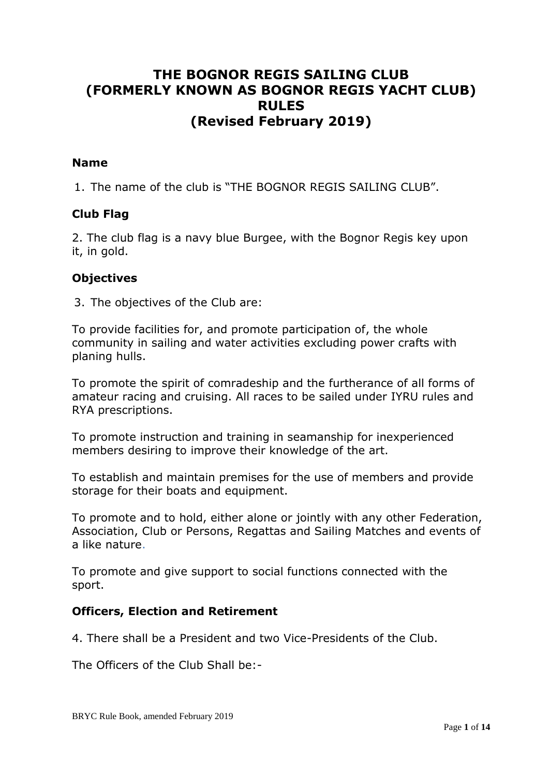# **THE BOGNOR REGIS SAILING CLUB (FORMERLY KNOWN AS BOGNOR REGIS YACHT CLUB) RULES (Revised February 2019)**

#### **Name**

1. The name of the club is "THE BOGNOR REGIS SAILING CLUB".

#### **Club Flag**

2. The club flag is a navy blue Burgee, with the Bognor Regis key upon it, in gold.

#### **Objectives**

3. The objectives of the Club are:

To provide facilities for, and promote participation of, the whole community in sailing and water activities excluding power crafts with planing hulls.

To promote the spirit of comradeship and the furtherance of all forms of amateur racing and cruising. All races to be sailed under IYRU rules and RYA prescriptions.

To promote instruction and training in seamanship for inexperienced members desiring to improve their knowledge of the art.

To establish and maintain premises for the use of members and provide storage for their boats and equipment.

To promote and to hold, either alone or jointly with any other Federation, Association, Club or Persons, Regattas and Sailing Matches and events of a like nature.

To promote and give support to social functions connected with the sport.

#### **Officers, Election and Retirement**

4. There shall be a President and two Vice-Presidents of the Club.

The Officers of the Club Shall be:-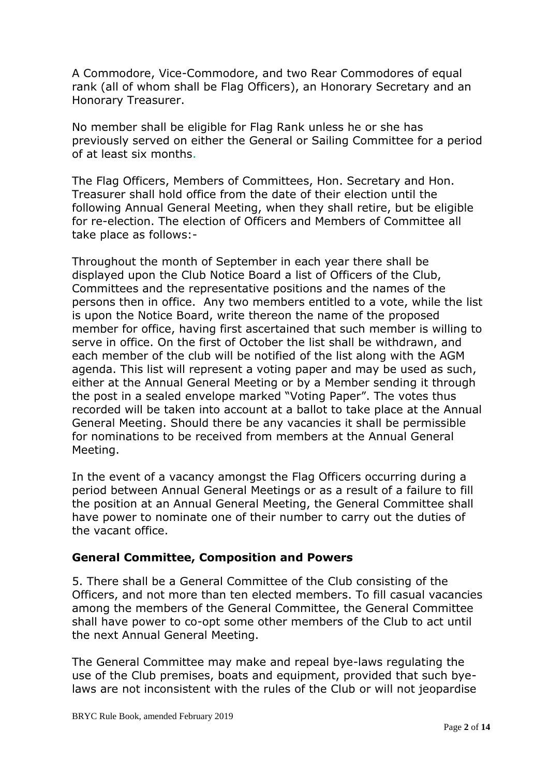A Commodore, Vice-Commodore, and two Rear Commodores of equal rank (all of whom shall be Flag Officers), an Honorary Secretary and an Honorary Treasurer.

No member shall be eligible for Flag Rank unless he or she has previously served on either the General or Sailing Committee for a period of at least six months.

The Flag Officers, Members of Committees, Hon. Secretary and Hon. Treasurer shall hold office from the date of their election until the following Annual General Meeting, when they shall retire, but be eligible for re-election. The election of Officers and Members of Committee all take place as follows:-

Throughout the month of September in each year there shall be displayed upon the Club Notice Board a list of Officers of the Club, Committees and the representative positions and the names of the persons then in office. Any two members entitled to a vote, while the list is upon the Notice Board, write thereon the name of the proposed member for office, having first ascertained that such member is willing to serve in office. On the first of October the list shall be withdrawn, and each member of the club will be notified of the list along with the AGM agenda. This list will represent a voting paper and may be used as such, either at the Annual General Meeting or by a Member sending it through the post in a sealed envelope marked "Voting Paper". The votes thus recorded will be taken into account at a ballot to take place at the Annual General Meeting. Should there be any vacancies it shall be permissible for nominations to be received from members at the Annual General Meeting.

In the event of a vacancy amongst the Flag Officers occurring during a period between Annual General Meetings or as a result of a failure to fill the position at an Annual General Meeting, the General Committee shall have power to nominate one of their number to carry out the duties of the vacant office.

### **General Committee, Composition and Powers**

5. There shall be a General Committee of the Club consisting of the Officers, and not more than ten elected members. To fill casual vacancies among the members of the General Committee, the General Committee shall have power to co-opt some other members of the Club to act until the next Annual General Meeting.

The General Committee may make and repeal bye-laws regulating the use of the Club premises, boats and equipment, provided that such byelaws are not inconsistent with the rules of the Club or will not jeopardise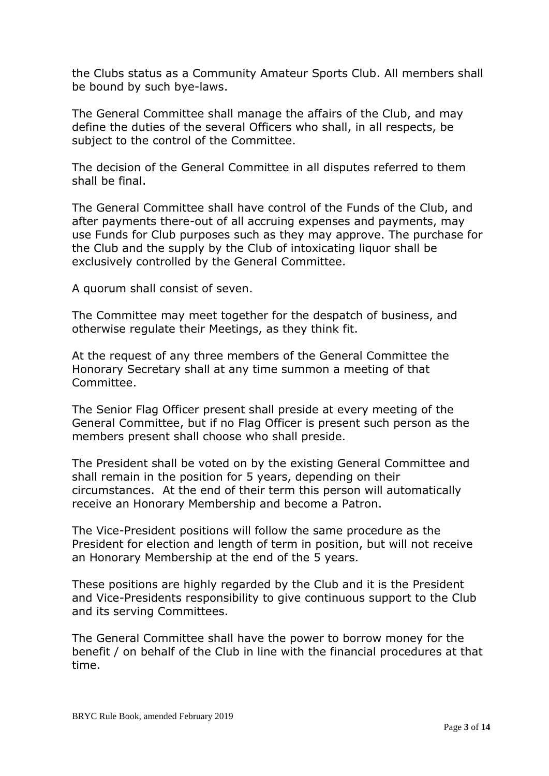the Clubs status as a Community Amateur Sports Club. All members shall be bound by such bye-laws.

The General Committee shall manage the affairs of the Club, and may define the duties of the several Officers who shall, in all respects, be subject to the control of the Committee.

The decision of the General Committee in all disputes referred to them shall be final.

The General Committee shall have control of the Funds of the Club, and after payments there-out of all accruing expenses and payments, may use Funds for Club purposes such as they may approve. The purchase for the Club and the supply by the Club of intoxicating liquor shall be exclusively controlled by the General Committee.

A quorum shall consist of seven.

The Committee may meet together for the despatch of business, and otherwise regulate their Meetings, as they think fit.

At the request of any three members of the General Committee the Honorary Secretary shall at any time summon a meeting of that Committee.

The Senior Flag Officer present shall preside at every meeting of the General Committee, but if no Flag Officer is present such person as the members present shall choose who shall preside.

The President shall be voted on by the existing General Committee and shall remain in the position for 5 years, depending on their circumstances. At the end of their term this person will automatically receive an Honorary Membership and become a Patron.

The Vice-President positions will follow the same procedure as the President for election and length of term in position, but will not receive an Honorary Membership at the end of the 5 years.

These positions are highly regarded by the Club and it is the President and Vice-Presidents responsibility to give continuous support to the Club and its serving Committees.

The General Committee shall have the power to borrow money for the benefit / on behalf of the Club in line with the financial procedures at that time.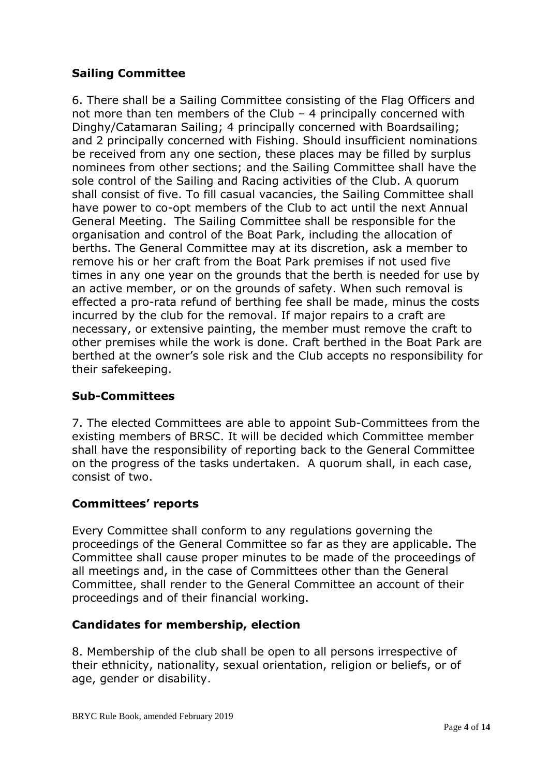## **Sailing Committee**

6. There shall be a Sailing Committee consisting of the Flag Officers and not more than ten members of the Club – 4 principally concerned with Dinghy/Catamaran Sailing; 4 principally concerned with Boardsailing; and 2 principally concerned with Fishing. Should insufficient nominations be received from any one section, these places may be filled by surplus nominees from other sections; and the Sailing Committee shall have the sole control of the Sailing and Racing activities of the Club. A quorum shall consist of five. To fill casual vacancies, the Sailing Committee shall have power to co-opt members of the Club to act until the next Annual General Meeting. The Sailing Committee shall be responsible for the organisation and control of the Boat Park, including the allocation of berths. The General Committee may at its discretion, ask a member to remove his or her craft from the Boat Park premises if not used five times in any one year on the grounds that the berth is needed for use by an active member, or on the grounds of safety. When such removal is effected a pro-rata refund of berthing fee shall be made, minus the costs incurred by the club for the removal. If major repairs to a craft are necessary, or extensive painting, the member must remove the craft to other premises while the work is done. Craft berthed in the Boat Park are berthed at the owner's sole risk and the Club accepts no responsibility for their safekeeping.

## **Sub-Committees**

7. The elected Committees are able to appoint Sub-Committees from the existing members of BRSC. It will be decided which Committee member shall have the responsibility of reporting back to the General Committee on the progress of the tasks undertaken. A quorum shall, in each case, consist of two.

## **Committees' reports**

Every Committee shall conform to any regulations governing the proceedings of the General Committee so far as they are applicable. The Committee shall cause proper minutes to be made of the proceedings of all meetings and, in the case of Committees other than the General Committee, shall render to the General Committee an account of their proceedings and of their financial working.

### **Candidates for membership, election**

8. Membership of the club shall be open to all persons irrespective of their ethnicity, nationality, sexual orientation, religion or beliefs, or of age, gender or disability.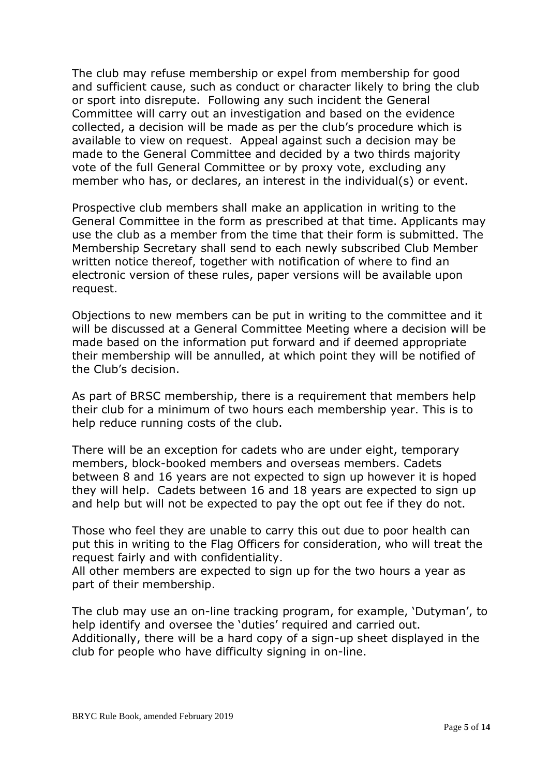The club may refuse membership or expel from membership for good and sufficient cause, such as conduct or character likely to bring the club or sport into disrepute. Following any such incident the General Committee will carry out an investigation and based on the evidence collected, a decision will be made as per the club's procedure which is available to view on request. Appeal against such a decision may be made to the General Committee and decided by a two thirds majority vote of the full General Committee or by proxy vote, excluding any member who has, or declares, an interest in the individual(s) or event.

Prospective club members shall make an application in writing to the General Committee in the form as prescribed at that time. Applicants may use the club as a member from the time that their form is submitted. The Membership Secretary shall send to each newly subscribed Club Member written notice thereof, together with notification of where to find an electronic version of these rules, paper versions will be available upon request.

Objections to new members can be put in writing to the committee and it will be discussed at a General Committee Meeting where a decision will be made based on the information put forward and if deemed appropriate their membership will be annulled, at which point they will be notified of the Club's decision.

As part of BRSC membership, there is a requirement that members help their club for a minimum of two hours each membership year. This is to help reduce running costs of the club.

There will be an exception for cadets who are under eight, temporary members, block-booked members and overseas members. Cadets between 8 and 16 years are not expected to sign up however it is hoped they will help. Cadets between 16 and 18 years are expected to sign up and help but will not be expected to pay the opt out fee if they do not.

Those who feel they are unable to carry this out due to poor health can put this in writing to the Flag Officers for consideration, who will treat the request fairly and with confidentiality.

All other members are expected to sign up for the two hours a year as part of their membership.

The club may use an on-line tracking program, for example, 'Dutyman', to help identify and oversee the 'duties' required and carried out. Additionally, there will be a hard copy of a sign-up sheet displayed in the club for people who have difficulty signing in on-line.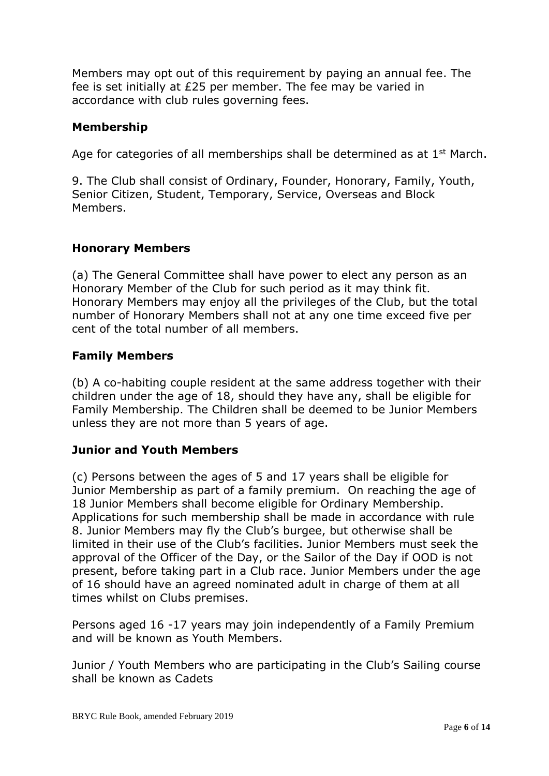Members may opt out of this requirement by paying an annual fee. The fee is set initially at £25 per member. The fee may be varied in accordance with club rules governing fees.

## **Membership**

Age for categories of all memberships shall be determined as at  $1<sup>st</sup>$  March.

9. The Club shall consist of Ordinary, Founder, Honorary, Family, Youth, Senior Citizen, Student, Temporary, Service, Overseas and Block Members.

## **Honorary Members**

(a) The General Committee shall have power to elect any person as an Honorary Member of the Club for such period as it may think fit. Honorary Members may enjoy all the privileges of the Club, but the total number of Honorary Members shall not at any one time exceed five per cent of the total number of all members.

## **Family Members**

(b) A co-habiting couple resident at the same address together with their children under the age of 18, should they have any, shall be eligible for Family Membership. The Children shall be deemed to be Junior Members unless they are not more than 5 years of age.

### **Junior and Youth Members**

(c) Persons between the ages of 5 and 17 years shall be eligible for Junior Membership as part of a family premium. On reaching the age of 18 Junior Members shall become eligible for Ordinary Membership. Applications for such membership shall be made in accordance with rule 8. Junior Members may fly the Club's burgee, but otherwise shall be limited in their use of the Club's facilities. Junior Members must seek the approval of the Officer of the Day, or the Sailor of the Day if OOD is not present, before taking part in a Club race. Junior Members under the age of 16 should have an agreed nominated adult in charge of them at all times whilst on Clubs premises.

Persons aged 16 -17 years may join independently of a Family Premium and will be known as Youth Members.

Junior / Youth Members who are participating in the Club's Sailing course shall be known as Cadets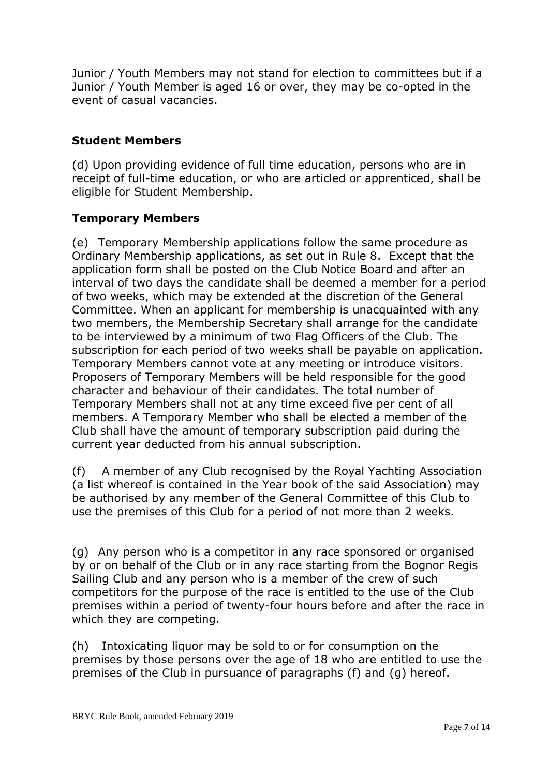Junior / Youth Members may not stand for election to committees but if a Junior / Youth Member is aged 16 or over, they may be co-opted in the event of casual vacancies.

## **Student Members**

(d) Upon providing evidence of full time education, persons who are in receipt of full-time education, or who are articled or apprenticed, shall be eligible for Student Membership.

## **Temporary Members**

(e) Temporary Membership applications follow the same procedure as Ordinary Membership applications, as set out in Rule 8. Except that the application form shall be posted on the Club Notice Board and after an interval of two days the candidate shall be deemed a member for a period of two weeks, which may be extended at the discretion of the General Committee. When an applicant for membership is unacquainted with any two members, the Membership Secretary shall arrange for the candidate to be interviewed by a minimum of two Flag Officers of the Club. The subscription for each period of two weeks shall be payable on application. Temporary Members cannot vote at any meeting or introduce visitors. Proposers of Temporary Members will be held responsible for the good character and behaviour of their candidates. The total number of Temporary Members shall not at any time exceed five per cent of all members. A Temporary Member who shall be elected a member of the Club shall have the amount of temporary subscription paid during the current year deducted from his annual subscription.

(f) A member of any Club recognised by the Royal Yachting Association (a list whereof is contained in the Year book of the said Association) may be authorised by any member of the General Committee of this Club to use the premises of this Club for a period of not more than 2 weeks.

(g) Any person who is a competitor in any race sponsored or organised by or on behalf of the Club or in any race starting from the Bognor Regis Sailing Club and any person who is a member of the crew of such competitors for the purpose of the race is entitled to the use of the Club premises within a period of twenty-four hours before and after the race in which they are competing.

(h) Intoxicating liquor may be sold to or for consumption on the premises by those persons over the age of 18 who are entitled to use the premises of the Club in pursuance of paragraphs (f) and (g) hereof.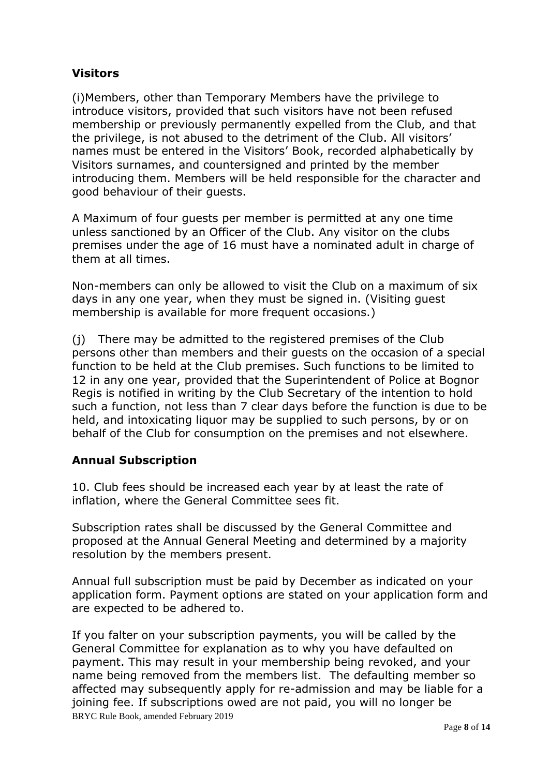## **Visitors**

(i)Members, other than Temporary Members have the privilege to introduce visitors, provided that such visitors have not been refused membership or previously permanently expelled from the Club, and that the privilege, is not abused to the detriment of the Club. All visitors' names must be entered in the Visitors' Book, recorded alphabetically by Visitors surnames, and countersigned and printed by the member introducing them. Members will be held responsible for the character and good behaviour of their guests.

A Maximum of four guests per member is permitted at any one time unless sanctioned by an Officer of the Club. Any visitor on the clubs premises under the age of 16 must have a nominated adult in charge of them at all times.

Non-members can only be allowed to visit the Club on a maximum of six days in any one year, when they must be signed in. (Visiting guest membership is available for more frequent occasions.)

(j) There may be admitted to the registered premises of the Club persons other than members and their guests on the occasion of a special function to be held at the Club premises. Such functions to be limited to 12 in any one year, provided that the Superintendent of Police at Bognor Regis is notified in writing by the Club Secretary of the intention to hold such a function, not less than 7 clear days before the function is due to be held, and intoxicating liquor may be supplied to such persons, by or on behalf of the Club for consumption on the premises and not elsewhere.

### **Annual Subscription**

10. Club fees should be increased each year by at least the rate of inflation, where the General Committee sees fit.

Subscription rates shall be discussed by the General Committee and proposed at the Annual General Meeting and determined by a majority resolution by the members present.

Annual full subscription must be paid by December as indicated on your application form. Payment options are stated on your application form and are expected to be adhered to.

BRYC Rule Book, amended February 2019 If you falter on your subscription payments, you will be called by the General Committee for explanation as to why you have defaulted on payment. This may result in your membership being revoked, and your name being removed from the members list. The defaulting member so affected may subsequently apply for re-admission and may be liable for a joining fee. If subscriptions owed are not paid, you will no longer be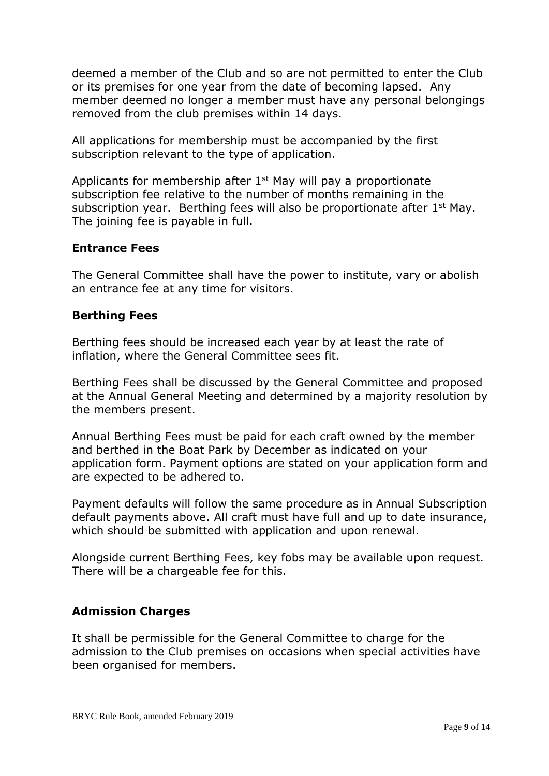deemed a member of the Club and so are not permitted to enter the Club or its premises for one year from the date of becoming lapsed. Any member deemed no longer a member must have any personal belongings removed from the club premises within 14 days.

All applications for membership must be accompanied by the first subscription relevant to the type of application.

Applicants for membership after  $1<sup>st</sup>$  May will pay a proportionate subscription fee relative to the number of months remaining in the subscription year. Berthing fees will also be proportionate after 1<sup>st</sup> May. The joining fee is payable in full.

#### **Entrance Fees**

The General Committee shall have the power to institute, vary or abolish an entrance fee at any time for visitors.

#### **Berthing Fees**

Berthing fees should be increased each year by at least the rate of inflation, where the General Committee sees fit.

Berthing Fees shall be discussed by the General Committee and proposed at the Annual General Meeting and determined by a majority resolution by the members present.

Annual Berthing Fees must be paid for each craft owned by the member and berthed in the Boat Park by December as indicated on your application form. Payment options are stated on your application form and are expected to be adhered to.

Payment defaults will follow the same procedure as in Annual Subscription default payments above. All craft must have full and up to date insurance, which should be submitted with application and upon renewal.

Alongside current Berthing Fees, key fobs may be available upon request. There will be a chargeable fee for this.

### **Admission Charges**

It shall be permissible for the General Committee to charge for the admission to the Club premises on occasions when special activities have been organised for members.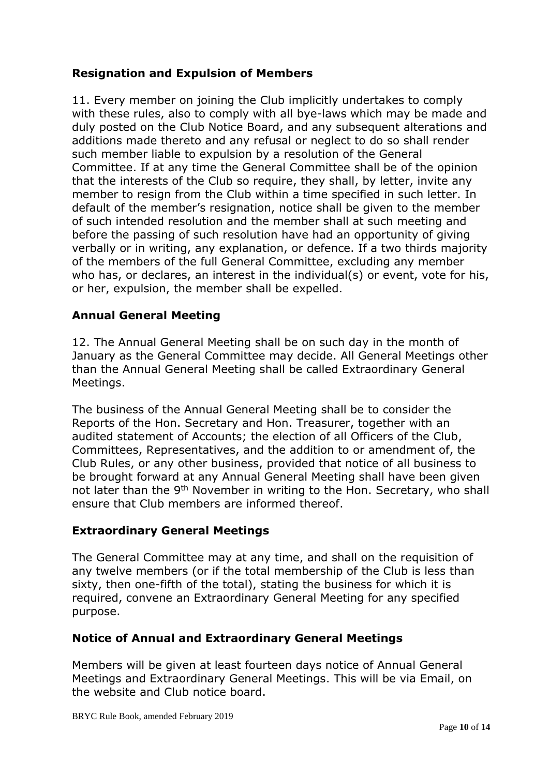## **Resignation and Expulsion of Members**

11. Every member on joining the Club implicitly undertakes to comply with these rules, also to comply with all bye-laws which may be made and duly posted on the Club Notice Board, and any subsequent alterations and additions made thereto and any refusal or neglect to do so shall render such member liable to expulsion by a resolution of the General Committee. If at any time the General Committee shall be of the opinion that the interests of the Club so require, they shall, by letter, invite any member to resign from the Club within a time specified in such letter. In default of the member's resignation, notice shall be given to the member of such intended resolution and the member shall at such meeting and before the passing of such resolution have had an opportunity of giving verbally or in writing, any explanation, or defence. If a two thirds majority of the members of the full General Committee, excluding any member who has, or declares, an interest in the individual(s) or event, vote for his, or her, expulsion, the member shall be expelled.

### **Annual General Meeting**

12. The Annual General Meeting shall be on such day in the month of January as the General Committee may decide. All General Meetings other than the Annual General Meeting shall be called Extraordinary General Meetings.

The business of the Annual General Meeting shall be to consider the Reports of the Hon. Secretary and Hon. Treasurer, together with an audited statement of Accounts; the election of all Officers of the Club, Committees, Representatives, and the addition to or amendment of, the Club Rules, or any other business, provided that notice of all business to be brought forward at any Annual General Meeting shall have been given not later than the 9<sup>th</sup> November in writing to the Hon. Secretary, who shall ensure that Club members are informed thereof.

### **Extraordinary General Meetings**

The General Committee may at any time, and shall on the requisition of any twelve members (or if the total membership of the Club is less than sixty, then one-fifth of the total), stating the business for which it is required, convene an Extraordinary General Meeting for any specified purpose.

### **Notice of Annual and Extraordinary General Meetings**

Members will be given at least fourteen days notice of Annual General Meetings and Extraordinary General Meetings. This will be via Email, on the website and Club notice board.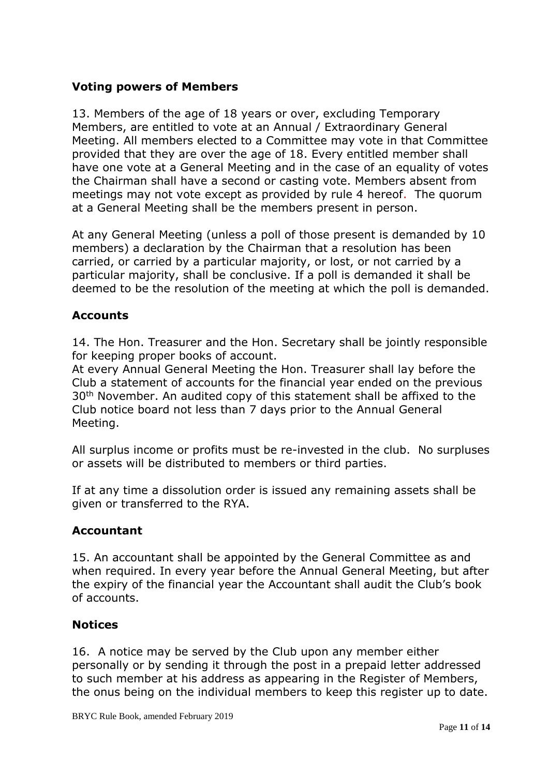## **Voting powers of Members**

13. Members of the age of 18 years or over, excluding Temporary Members, are entitled to vote at an Annual / Extraordinary General Meeting. All members elected to a Committee may vote in that Committee provided that they are over the age of 18. Every entitled member shall have one vote at a General Meeting and in the case of an equality of votes the Chairman shall have a second or casting vote. Members absent from meetings may not vote except as provided by rule 4 hereof.The quorum at a General Meeting shall be the members present in person.

At any General Meeting (unless a poll of those present is demanded by 10 members) a declaration by the Chairman that a resolution has been carried, or carried by a particular majority, or lost, or not carried by a particular majority, shall be conclusive. If a poll is demanded it shall be deemed to be the resolution of the meeting at which the poll is demanded.

## **Accounts**

14. The Hon. Treasurer and the Hon. Secretary shall be jointly responsible for keeping proper books of account.

At every Annual General Meeting the Hon. Treasurer shall lay before the Club a statement of accounts for the financial year ended on the previous 30th November. An audited copy of this statement shall be affixed to the Club notice board not less than 7 days prior to the Annual General Meeting.

All surplus income or profits must be re-invested in the club. No surpluses or assets will be distributed to members or third parties.

If at any time a dissolution order is issued any remaining assets shall be given or transferred to the RYA.

### **Accountant**

15. An accountant shall be appointed by the General Committee as and when required. In every year before the Annual General Meeting, but after the expiry of the financial year the Accountant shall audit the Club's book of accounts.

### **Notices**

16. A notice may be served by the Club upon any member either personally or by sending it through the post in a prepaid letter addressed to such member at his address as appearing in the Register of Members, the onus being on the individual members to keep this register up to date.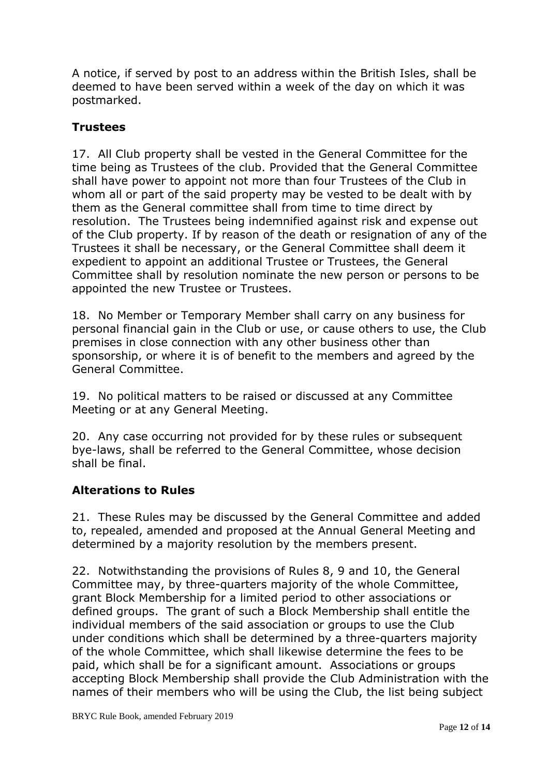A notice, if served by post to an address within the British Isles, shall be deemed to have been served within a week of the day on which it was postmarked.

## **Trustees**

17. All Club property shall be vested in the General Committee for the time being as Trustees of the club. Provided that the General Committee shall have power to appoint not more than four Trustees of the Club in whom all or part of the said property may be vested to be dealt with by them as the General committee shall from time to time direct by resolution. The Trustees being indemnified against risk and expense out of the Club property. If by reason of the death or resignation of any of the Trustees it shall be necessary, or the General Committee shall deem it expedient to appoint an additional Trustee or Trustees, the General Committee shall by resolution nominate the new person or persons to be appointed the new Trustee or Trustees.

18. No Member or Temporary Member shall carry on any business for personal financial gain in the Club or use, or cause others to use, the Club premises in close connection with any other business other than sponsorship, or where it is of benefit to the members and agreed by the General Committee.

19. No political matters to be raised or discussed at any Committee Meeting or at any General Meeting.

20. Any case occurring not provided for by these rules or subsequent bye-laws, shall be referred to the General Committee, whose decision shall be final.

### **Alterations to Rules**

21. These Rules may be discussed by the General Committee and added to, repealed, amended and proposed at the Annual General Meeting and determined by a majority resolution by the members present.

22. Notwithstanding the provisions of Rules 8, 9 and 10, the General Committee may, by three-quarters majority of the whole Committee, grant Block Membership for a limited period to other associations or defined groups. The grant of such a Block Membership shall entitle the individual members of the said association or groups to use the Club under conditions which shall be determined by a three-quarters majority of the whole Committee, which shall likewise determine the fees to be paid, which shall be for a significant amount. Associations or groups accepting Block Membership shall provide the Club Administration with the names of their members who will be using the Club, the list being subject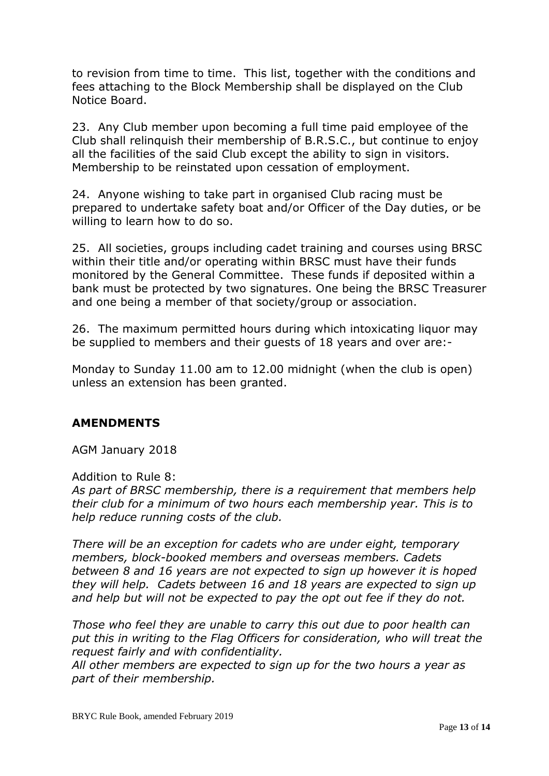to revision from time to time. This list, together with the conditions and fees attaching to the Block Membership shall be displayed on the Club Notice Board.

23. Any Club member upon becoming a full time paid employee of the Club shall relinquish their membership of B.R.S.C., but continue to enjoy all the facilities of the said Club except the ability to sign in visitors. Membership to be reinstated upon cessation of employment.

24. Anyone wishing to take part in organised Club racing must be prepared to undertake safety boat and/or Officer of the Day duties, or be willing to learn how to do so.

25. All societies, groups including cadet training and courses using BRSC within their title and/or operating within BRSC must have their funds monitored by the General Committee. These funds if deposited within a bank must be protected by two signatures. One being the BRSC Treasurer and one being a member of that society/group or association.

26. The maximum permitted hours during which intoxicating liquor may be supplied to members and their guests of 18 years and over are:-

Monday to Sunday 11.00 am to 12.00 midnight (when the club is open) unless an extension has been granted.

### **AMENDMENTS**

AGM January 2018

#### Addition to Rule 8:

*As part of BRSC membership, there is a requirement that members help their club for a minimum of two hours each membership year. This is to help reduce running costs of the club.* 

*There will be an exception for cadets who are under eight, temporary members, block-booked members and overseas members. Cadets between 8 and 16 years are not expected to sign up however it is hoped they will help. Cadets between 16 and 18 years are expected to sign up and help but will not be expected to pay the opt out fee if they do not.*

*Those who feel they are unable to carry this out due to poor health can put this in writing to the Flag Officers for consideration, who will treat the request fairly and with confidentiality.* 

*All other members are expected to sign up for the two hours a year as part of their membership.*